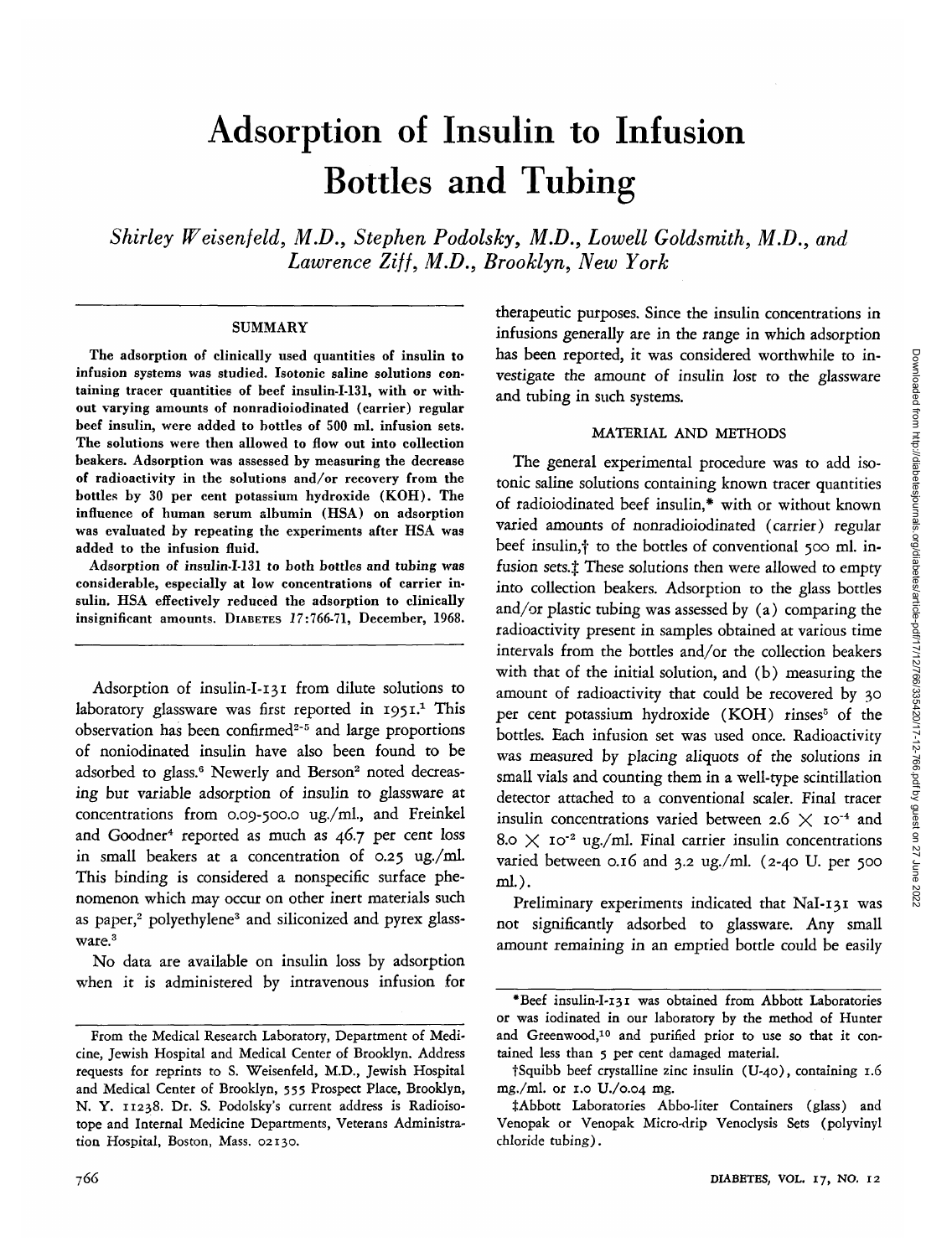# Adsorption of Insulin to Infusion Bottles and Tubing

*Shirley Weisenfeld, M.D., Stephen Podolsky, M.D., Lowell Goldsmith, M.D., and Lawrence Ziff, M.D., Brooklyn, New York*

#### **SUMMARY**

The adsorption of clinically used quantities of insulin to infusion systems was studied. Isotonic saline solutions containing tracer quantities of beef insulin-I-131, with or without varying amounts of nonradioiodinated (carrier) regular beef insulin, were added to bottles of 500 ml. infusion sets. The solutions were then allowed to flow out into collection beakers. Adsorption was assessed by measuring the decrease of radioactivity in the solutions and/or recovery from the bottles by 30 per cent potassium hydroxide (KOH). The influence of human serum albumin (HSA) on adsorption was evaluated by repeating the experiments after HSA was added to the infusion fluid.

Adsorption of insulin-I-131 to both bottles and tubing was considerable, especially at low concentrations of carrier insulin. HSA effectively reduced the adsorption to clinically insignificant amounts. DIABETES 17:766-71, December, 1968.

Adsorption of insulin-I-131 from dilute solutions to laboratory glassware was first reported in 1951.<sup>1</sup> This observation has been confirmed<sup>2-5</sup> and large proportions of noniodinated insulin have also been found to be adsorbed to glass.<sup>6</sup> Newerly and Berson<sup>2</sup> noted decreasing but variable adsorption of insulin to glassware at concentrations from 0.09-500.0 ug./ml., and Freinkel and Goodner<sup>4</sup> reported as much as 46.7 per cent loss in small beakers at a concentration of 0.25 ug./ml. This binding is considered a nonspecific surface phenomenon which may occur on other inert materials such as paper,<sup>2</sup> polyethylene<sup>3</sup> and siliconized and pyrex glassware.<sup>3</sup>

No data are available on insulin loss by adsorption when it is administered by intravenous infusion for therapeutic purposes. Since the insulin concentrations in infusions generally are in the range in which adsorption has been reported, it was considered worthwhile to investigate the amount of insulin lost to the glassware and tubing in such systems.

# MATERIAL AND METHODS

The general experimental procedure was to add isotonic saline solutions containing known tracer quantities of radioiodinated beef insulin,\* with or without known varied amounts of nonradioiodinated (carrier) regular beef insulin,<sup>†</sup> to the bottles of conventional 500 ml. infusion sets. $\ddagger$  These solutions then were allowed to empty into collection beakers. Adsorption to the glass bottles and/or plastic tubing was assessed by (a) comparing the radioactivity present in samples obtained at various time intervals from the bottles and/or the collection beakers with that of the initial solution, and (b) measuring the amount of radioactivity that could be recovered by 30 per cent potassium hydroxide (KOH) rinses<sup>5</sup> of the bottles. Each infusion set was used once. Radioactivity was measured by placing aliquots of the solutions in small vials and counting them in a well-type scintillation detector attached to a conventional sealer. Final tracer insulin concentrations varied between 2.6  $\times$  10<sup>-4</sup> and  $8.0 \times 10^{-2}$  ug./ml. Final carrier insulin concentrations varied between 0.16 and 3.2 ug./ml. (2-40 U. per 500 ml.).

Preliminary experiments indicated that NaI-131 was not significantly adsorbed to glassware. Any small amount remaining in an emptied bottle could be easily

From the Medical Research Laboratory, Department of Medicine, Jewish Hospital and Medical Center of Brooklyn. Address requests for reprints to S. Weisenfeld, M.D., Jewish Hospital and Medical Center of Brooklyn, 555 Prospect Place, Brooklyn, N. Y. 11238. Dr. S. Podolsky's current address is Radioisotope and Internal Medicine Departments, Veterans Administration Hospital, Boston, Mass. 02130.

<sup>\*</sup>Beef insulin-I-131 was obtained from Abbott Laboratories or was iodinated in our laboratory by the method of Hunter and Greenwood,<sup>10</sup> and purified prior to use so that it contained less than 5 per cent damaged material.

tSquibb beef crystalline zinc insulin (U-40), containing 1.6 mg./ml. or 1.0 U./0.04 mg.

<sup>#</sup>Abbott Laboratories Abbo-liter Containers (glass) and Venopak or Venopak Micro-drip Venoclysis Sets (polyvinyl chloride tubing).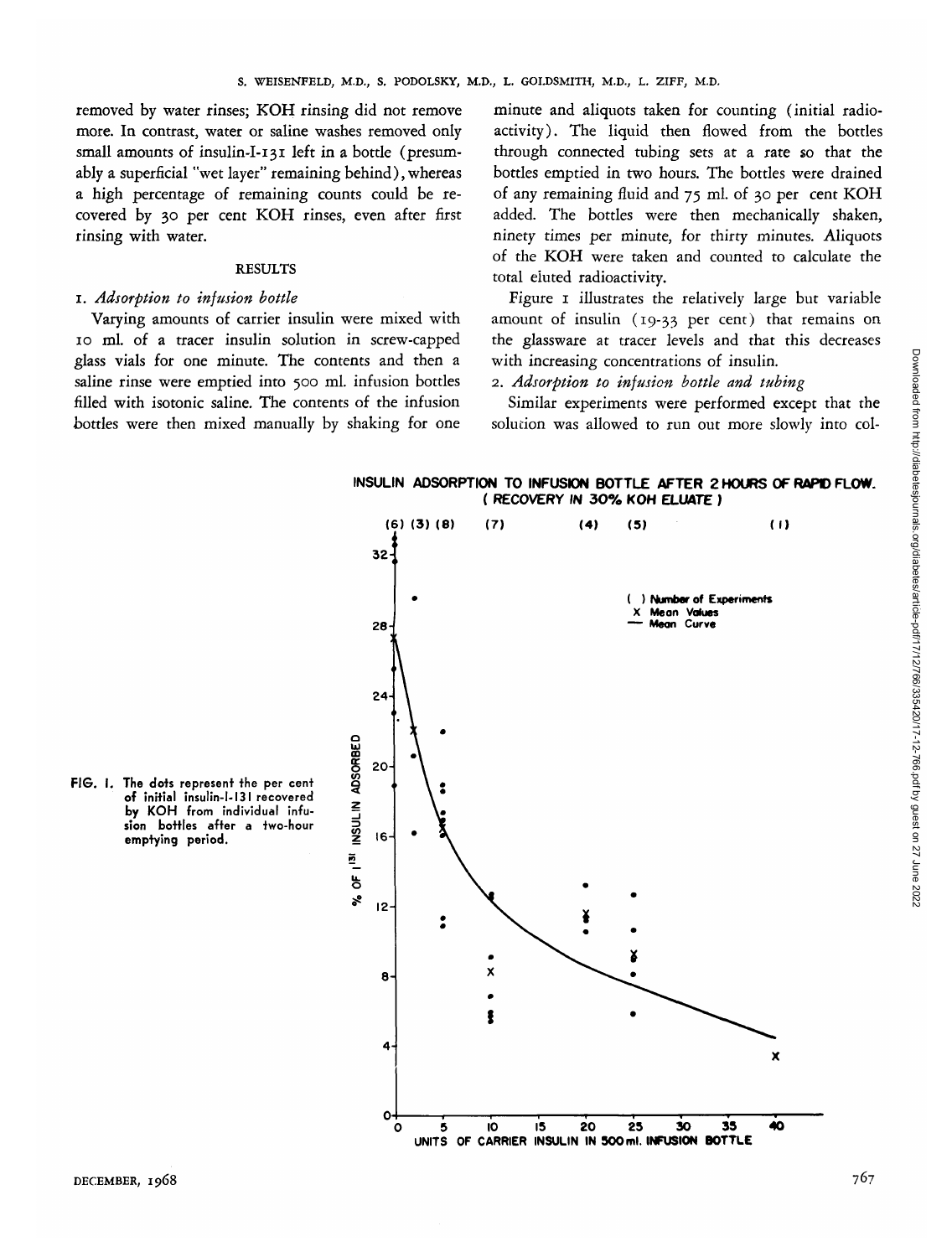removed by water rinses; KOH rinsing did not remove more. In contrast, water or saline washes removed only small amounts of insulin-I-131 left in a bottle (presumably a superficial "wet layer" remaining behind), whereas a high percentage of remaining counts could be recovered by 30 per cent KOH rinses, even after first rinsing with water.

#### RESULTS

# 1. *Adsorption to infusion bottle*

Varying amounts of carrier insulin were mixed with 10 ml. of a tracer insulin solution in screw-capped glass vials for one minute. The contents and then a saline rinse were emptied into 500 ml. infusion bottles filled with isotonic saline. The contents of the infusion bottles were then mixed manually by shaking for one

minute and aliquots taken for counting (initial radioactivity). The liquid then flowed from the bottles through connected tubing sets at a rate so that the bottles emptied in two hours. The bottles were drained of any remaining fluid and 75 ml. of 30 per cent KOH added. The bottles were then mechanically shaken, ninety *times* per minute, for thirty minutes. Aliquots of the KOH were taken and counted to calculate the total eluted radioactivity.

Figure I illustrates the relatively large but variable amount of insulin (19-33 per cent) that remains on the glassware at tracer levels and that this decreases with increasing concentrations of insulin.

# 2. *Adsorption to infusion bottle and tubing*

Similar experiments were performed except that the solution was allowed to run out more slowly into col-

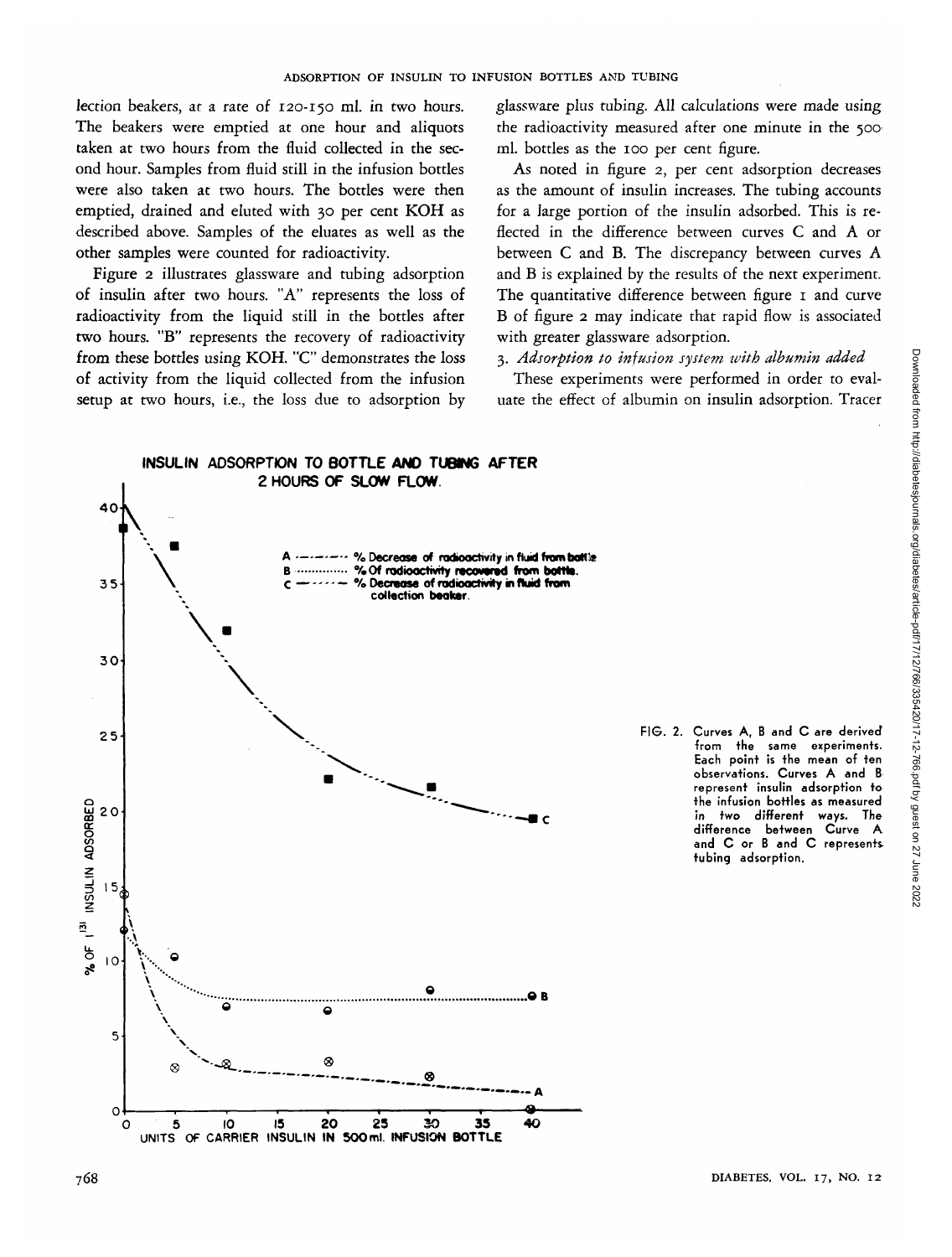lection beakers, at a rate of 120-150 ml. in two hours. The beakers were emptied at one hour and aliquots taken at two hours from the fluid collected in the second hour. Samples from fluid still in the infusion bottles were also taken at two hours. The bottles were then emptied, drained and eluted with 30 per cent KOH as described above. Samples of the eluates as well as the other samples were counted for radioactivity.

Figure 2 illustrates glassware and tubing adsorption of insulin after two hours. "A" represents the loss of radioactivity from the liquid still in the bottles after two hours. "B" represents the recovery of radioactivity from these bottles using KOH. "C" demonstrates the loss of activity from the liquid collected from the infusion setup at two hours, i.e., the loss due to adsorption by glassware plus tubing. All calculations were made using the radioactivity measured after one minute in the 500 ml. bottles as the 100 per cent figure.

As noted in figure 2, per cent adsorption decreases as the amount of insulin increases. The tubing accounts for a large portion of the insulin adsorbed. This is reflected in the difference between curves C and A or between C and B. The discrepancy between curves A and B is explained by the results of the next experiment. The quantitative difference between figure 1 and curve B of figure 2 may indicate that rapid flow is associated with greater glassware adsorption.

#### 3. *Adsorption to infusion system with albumin added*

These experiments were performed in order to evaluate the effect of albumin on insulin adsorption. Tracer

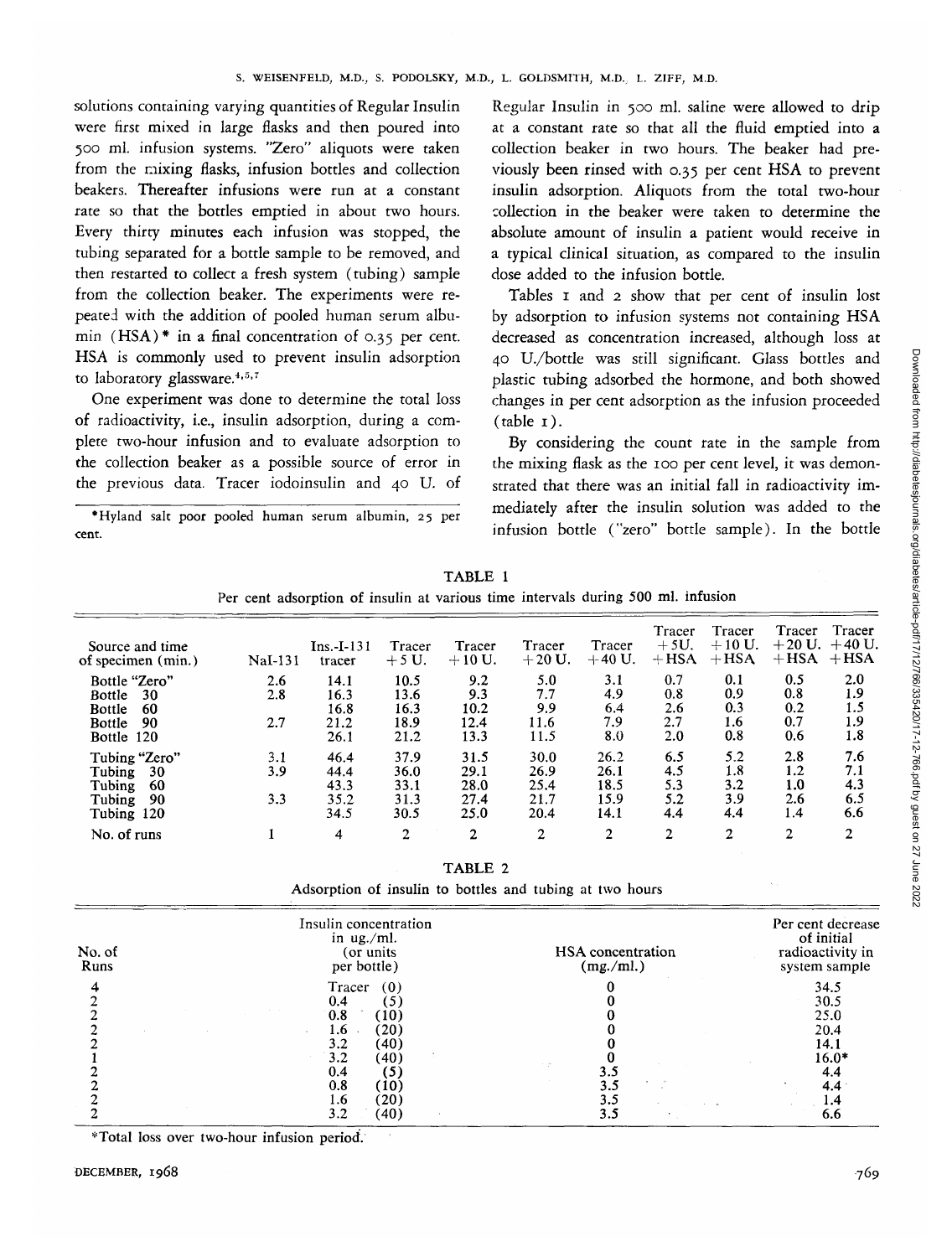solutions containing varying quantities of Regular Insulin were first mixed in large flasks and then poured into 500 ml. infusion systems. "Zero" aliquots were taken from the mixing flasks, infusion bottles and collection beakers. Thereafter infusions were run at a constant rate so that the bottles emptied in about two hours. Every thirty minutes each infusion was stopped, the tubing separated for a bottle sample to be removed, and then restarted to collect a fresh system (tubing) sample from the collection beaker. The experiments were repeated with the addition of pooled human serum albumin (HSA)\* in a final concentration of 0.35 per cent. HSA is commonly used to prevent insulin adsorption to laboratory glassware.<sup>4,5,7</sup>

One experiment was done to determine the total loss of radioactivity, i.e., insulin adsorption, during a complete two-hour infusion and to evaluate adsorption to the collection beaker as a possible source of error in the previous data. Tracer iodoinsulin and 40 U. of

•Hyland salt poor pooled human serum albumin, 25 per cent.

Regular Insulin in 500 ml. saline were allowed to drip at a constant rate so that all the fluid emptied into a collection beaker in two hours. The beaker had previously been rinsed with 0.35 per cent HSA to prevent insulin adsorption. Aliquots from the total two-hour collection in the beaker were taken to determine the absolute amount of insulin a patient would receive in a typical clinical situation, as compared to the insulin dose added to the infusion bottle.

Tables 1 and 2 show that per cent of insulin lost by adsorption to infusion systems not containing HSA decreased as concentration increased, although loss at 40 U./bottle was still significant. Glass bottles and plastic tubing adsorbed the hormone, and both showed changes in per cent adsorption as the infusion proceeded  $(table_1)$ .

By considering the count rate in the sample from the mixing flask as the 100 per cent level, it was demonstrated that there was an initial fall in radioactivity immediately after the insulin solution was added to the infusion bottle ("zero" bottle sample). In the bottle

| Per cent adsorption of insulin at various time intervals during 500 ml. infusion                 |                   |                                      |                                      |                                      |                                      |                                      |                                 |                                 |                                      |                                 |
|--------------------------------------------------------------------------------------------------|-------------------|--------------------------------------|--------------------------------------|--------------------------------------|--------------------------------------|--------------------------------------|---------------------------------|---------------------------------|--------------------------------------|---------------------------------|
| Source and time<br>of specimen (min.)                                                            | NaI-131           | $Ins.-I-131$<br>tracer               | Tracer<br>$+5U$ .                    | Tracer<br>$+10 U.$                   | Tracer<br>$+20$ U.                   | Tracer<br>$+40$ U.                   | Tracer<br>$+5U.$<br>$+$ HSA     | Tracer<br>$+10 U.$<br>$+$ HSA   | <b>Tracer</b><br>$+20$ U.<br>$+$ HSA | Tracer<br>$+40$ U.<br>$+$ HSA   |
| Bottle "Zero"<br>30<br><b>Bottle</b><br><b>Bottle</b><br>60<br><b>Bottle</b><br>90<br>Bottle 120 | 2.6<br>2.8<br>2.7 | 14.1<br>16.3<br>16.8<br>21.2<br>26.1 | 10.5<br>13.6<br>16.3<br>18.9<br>21.2 | 9.2<br>9.3<br>10.2<br>12.4<br>13.3   | 5.0<br>7.7<br>9.9<br>11.6<br>11.5    | 3.1<br>4.9<br>6.4<br>7.9<br>8.0      | 0.7<br>0.8<br>2.6<br>2.7<br>2.0 | 0.1<br>0.9<br>0.3<br>1.6<br>0.8 | 0.5<br>0.8<br>0.2<br>0.7<br>0.6      | 2.0<br>1.9<br>1.5<br>1.9<br>1.8 |
| Tubing "Zero"<br>Tubing<br>30<br>Tubing<br>-60<br>Tubing<br>90<br>Tubing 120                     | 3.1<br>3.9<br>3.3 | 46.4<br>44.4<br>43.3<br>35.2<br>34.5 | 37.9<br>36.0<br>33.1<br>31.3<br>30.5 | 31.5<br>29.1<br>28.0<br>27.4<br>25.0 | 30.0<br>26.9<br>25.4<br>21.7<br>20.4 | 26.2<br>26.1<br>18.5<br>15.9<br>14.1 | 6.5<br>4.5<br>5.3<br>5.2<br>4.4 | 5.2<br>1.8<br>3.2<br>3.9<br>4.4 | 2.8<br>1.2<br>1.0<br>2.6<br>1.4      | 7.6<br>7.1<br>4.3<br>6.5<br>6.6 |
| No. of runs                                                                                      |                   | 4                                    | $\overline{2}$                       | $\mathbf{2}$                         | $\overline{2}$                       | $\mathbf{2}$                         | $\overline{c}$                  | 2                               | $\overline{2}$                       | $\overline{2}$                  |

TABLE 1

TABLE 2

Adsorption of insulin to bottles and tubing at two hours

| No. of<br>Runs | Insulin concentration<br>in $\mu$ g./ml.<br>(or units)<br>per bottle)                           | HSA concentration<br>(mg./ml.) | Per cent decrease<br>of initial<br>radioactivity in<br>system sample |  |  |
|----------------|-------------------------------------------------------------------------------------------------|--------------------------------|----------------------------------------------------------------------|--|--|
|                | Tracer<br>(0)<br>0.4<br>5<br>0.8<br>(10)<br>(20)<br>1.6<br>$\sim$<br>(40)<br>3.2<br>3.2<br>(40) |                                | 34.5<br>30.5<br>25.0<br>20.4<br>14.1<br>$16.0*$                      |  |  |
|                | 0.4<br>(5)<br>0.8<br>(10)<br>(20)<br>1.6<br>(40)<br>3.2                                         | - 2<br>3.1<br>3.5<br>3.5       | 4.4<br>4.4<br>1.4<br>6.6                                             |  |  |

\* Total loss over two-hour infusion period.

Downloaded from http://diabetesjournals.org/diabetes/article-pdf/17/12/766/335420/17-12-766.pdf by guest on 27 June 2022Downloaded from http://diabetesjournals.org/diabetes/article-pdf/17/12/766/335420/17-12-766.pdf by guest on 27 June 2022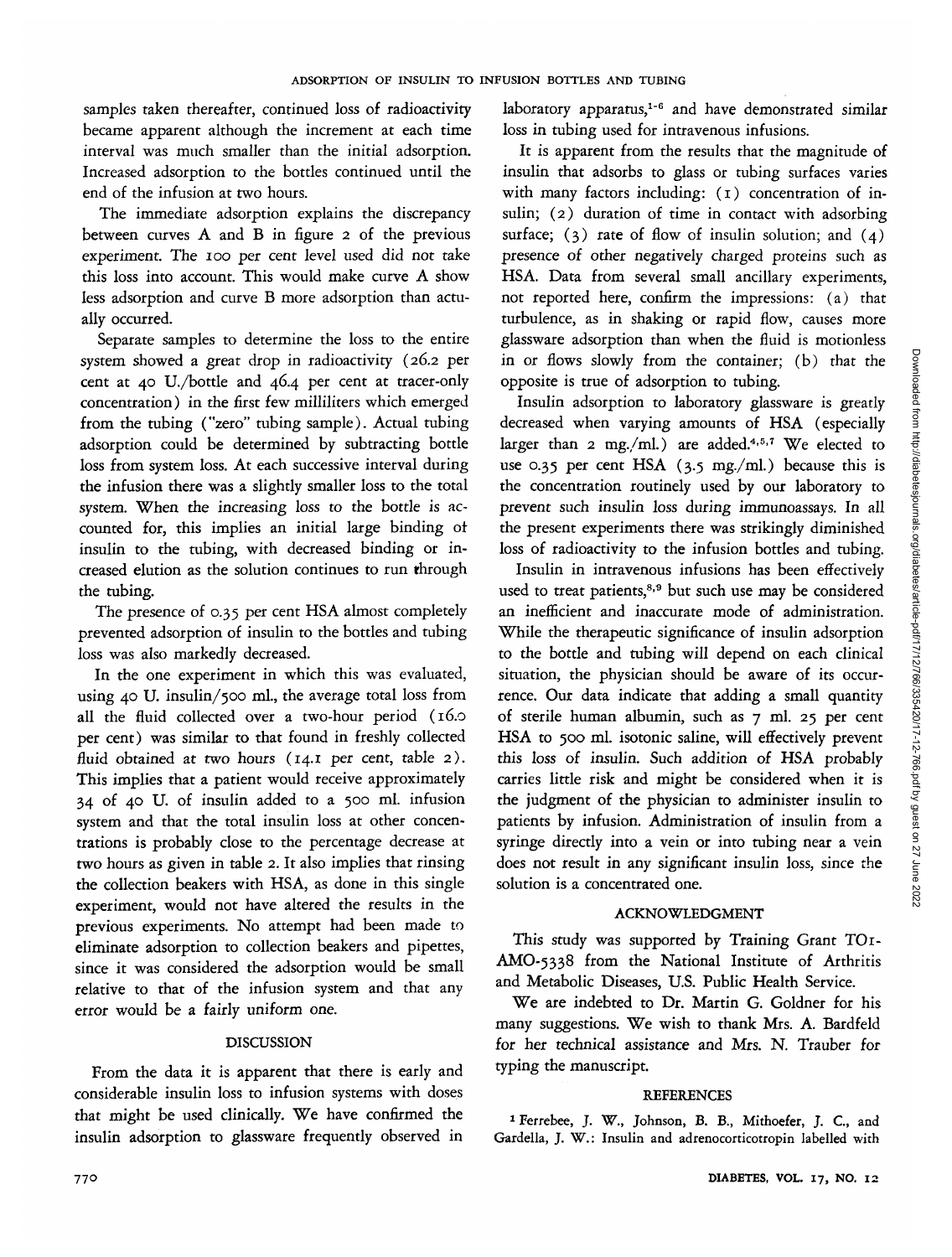samples taken thereafter, continued loss of radioactivity became apparent although the increment at each time interval was much smaller than the initial adsorption. Increased adsorption to the bottles continued until the end of the infusion at two hours.

The immediate adsorption explains the discrepancy between curves A and B in figure 2 of the previous experiment. The 100 per cent level used did not take this loss into account. This would make curve A show less adsorption and curve B more adsorption than actually occurred.

Separate samples to determine the loss to the entire system showed a great drop in radioactivity (26.2 per cent at 40 U./bottle and 46.4 per cent at tracer-only concentration) in the first few milliliters which emerged from the tubing ("zero" tubing sample). Actual tubing adsorption could be determined by subtracting bottle loss from system loss. At each successive interval during the infusion there was a slightly smaller loss to the total system. When the increasing loss to the bottle is accounted for, this implies an initial large binding ot insulin to the tubing, with decreased binding or increased elution as the solution continues to run through the tubing.

The presence of 0.35 per cent HSA almost completely prevented adsorption of insulin to the bottles and tubing loss was also markedly decreased.

In the one experiment in which this was evaluated, using 40 U. insulin/500 ml., the average total loss from all the fluid collected over a two-hour period (16.0 per cent) was similar to that found in freshly collected fluid obtained at two hours (14.1 per cent, table 2). This implies that a patient would receive approximately 34 of 40 U. of insulin added to a 500 ml. infusion system and that the total insulin loss at other concentrations is probably close to the percentage decrease at two hours as given in table 2. It also implies that rinsing the collection beakers with HSA, as done in this single experiment, would not have altered the results in the previous experiments. No attempt had been made to eliminate adsorption to collection beakers and pipettes, since it was considered the adsorption would be small relative to that of the infusion system and that any error would be a fairly uniform one.

# DISCUSSION

From the data it is apparent that there is early and considerable insulin loss to infusion systems with doses that might be used clinically. We have confirmed the insulin adsorption to glassware frequently observed in

laboratory apparatus,<sup>1-6</sup> and have demonstrated similar loss in tubing used for intravenous infusions.

It is apparent from the results that the magnitude of insulin that adsorbs to glass or tubing surfaces varies with many factors including: (1) concentration of insulin; (2) duration of time in contact with adsorbing surface;  $(3)$  rate of flow of insulin solution; and  $(4)$ presence of other negatively charged proteins such as HSA. Data from several small ancillary experiments, not reported here, confirm the impressions: (a) that turbulence, as in shaking or rapid flow, causes more glassware adsorption than when the fluid is motionless in or flows slowly from the container; (b) that the opposite is true of adsorption to tubing.

Insulin adsorption to laboratory glassware is greatly decreased when varying amounts of HSA (especially larger than 2 mg./ml.) are added.<sup>4,5,7</sup> We elected to use 0.35 per cent HSA (3.5 mg./ml.) because this is the concentration routinely used by our laboratory to prevent such insulin loss during immunoassays. In all the present experiments there was strikingly diminished loss of radioactivity to the infusion bottles and tubing.

Insulin in intravenous infusions has been effectively used to treat patients,<sup>8,9</sup> but such use may be considered an inefficient and inaccurate mode of administration. While the therapeutic significance of insulin adsorption to the bottle and tubing will depend on each clinical situation, the physician should be aware of its occurrence. Our data indicate that adding a small quantity of sterile human albumin, such as 7 ml. 25 per cent HSA to 500 ml. isotonic saline, will effectively prevent this loss of insulin. Such addition of HSA probably carries little risk and might be considered when it is the judgment of the physician to administer insulin to patients by infusion. Administration of insulin from a syringe directly into a vein or into tubing near a vein does not result in any significant insulin loss, since the solution is a concentrated one.

# ACKNOWLEDGMENT

This study was supported by Training Grant TOI-AMO-5338 from the National Institute of Arthritis and Metabolic Diseases, U.S. Public Health Service.

We are indebted to Dr. Martin G. Goldner for his many suggestions. We wish to thank Mrs. A. Bardfeld for her technical assistance and Mrs. N. Trauber for typing the manuscript.

# REFERENCES

<sup>1</sup> Ferrebee, J. W., Johnson, B. B., Mithoefer, J. C., and Gardella, J. W.: Insulin and adrenocorticotropin labelled with